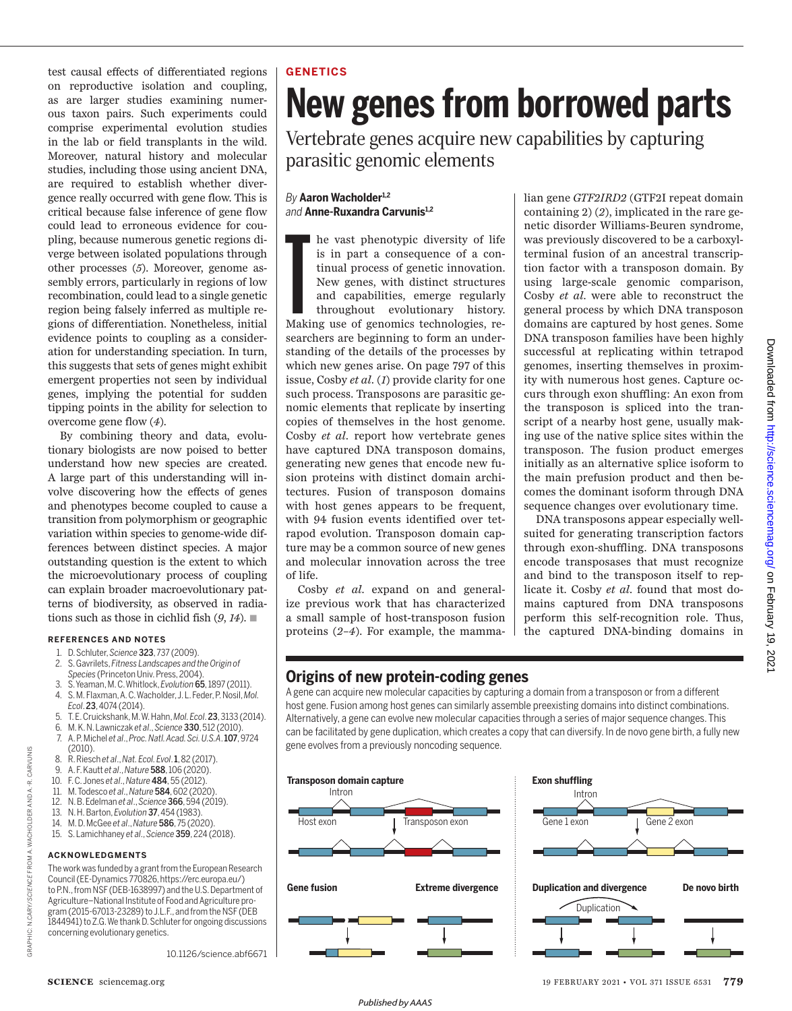test causal effects of differentiated regions on reproductive isolation and coupling, as are larger studies examining numerous taxon pairs. Such experiments could comprise experimental evolution studies in the lab or field transplants in the wild. Moreover, natural history and molecular studies, including those using ancient DNA, are required to establish whether divergence really occurred with gene flow. This is critical because false inference of gene flow could lead to erroneous evidence for coupling, because numerous genetic regions diverge between isolated populations through other processes (*5*). Moreover, genome assembly errors, particularly in regions of low recombination, could lead to a single genetic region being falsely inferred as multiple regions of differentiation. Nonetheless, initial evidence points to coupling as a consideration for understanding speciation. In turn, this suggests that sets of genes might exhibit emergent properties not seen by individual genes, implying the potential for sudden tipping points in the ability for selection to overcome gene flow (*4*).

By combining theory and data, evolutionary biologists are now poised to better understand how new species are created. A large part of this understanding will involve discovering how the effects of genes and phenotypes become coupled to cause a transition from polymorphism or geographic variation within species to genome-wide differences between distinct species. A major outstanding question is the extent to which the microevolutionary process of coupling can explain broader macroevolutionary patterns of biodiversity, as observed in radiations such as those in cichlid fish  $(9, 14)$ .

#### **REFERENCES AND NOTES**

- 1. D. Schluter, *Science* 323, 737 (2009).
- 2. S. Gavrilets, *Fitness Landscapes and the Origin of Species* (Princeton Univ. Press, 2004).
- 3. S. Yeaman, M. C. Whitlock, *Evolution* 65, 1897 (2011).
- 4. S. M. Flaxman, A. C. Wacholder, J. L. Feder, P. Nosil, *Mol. Ecol*. 23, 4074 (2014).
- 5. T. E. Cruickshank, M. W. Hahn, *Mol. Ecol*. 23, 3133 (2014).
- 6. M. K. N. Lawniczak *et al*., *Science* 330, 512 (2010).
- 7. A. P. Michel *et al*., *Proc. Natl. Acad. Sci. U.S.A*. 107, 9724 (2010). 8. R. Riesch *et al*., *Nat. Ecol. Evol*. 1, 82 (2017).
- 
- 9. A. F. Kautt *et al*., *Nature* 588, 106 (2020).
- 10. F. C. Jones *et al*., *Nature* 484, 55 (2012).
- 11. M. Todesco *et al*., *Nature* 584, 602 (2020). 12. N. B. Edelman *et al*., *Science* 366, 594 (2019).
- 13. N. H. Barton, *Evolution* 37, 454 (1983).
- 
- 14. M. D. McGee *et al*., *Nature* 586, 75 (2020).
- 15. S. Lamichhaney *et al*., *Science* 359, 224 (2018).

#### **ACKNOWLEDGMENTS**

GRAPHIC: N.CARY/*SCIENCE* FROM A. WACHOLDER AND A.-R. CARVUNIS

FROM A.

N.CARY/SCIENCE

GRAPHIC:

WACHOLDER AND A.-R. CARVUNIS

The work was funded by a grant from the European Research Council (EE-Dynamics 770826, https://erc.europa.eu/) to P.N., from NSF (DEB-1638997) and the U.S. Department of Agriculture–National Institute of Food and Agriculture program (2015-67013-23289) to J.L.F., and from the NSF (DEB 1844941) to Z.G. We thank D. Schluter for ongoing discussions concerning evolutionary genetics.

10.1126/science.abf6671

# **GENETICS**

# **New genes from borrowed parts**

Vertebrate genes acquire new capabilities by capturing parasitic genomic elements

### *By* **Aaron Wacholder1,2** *and* **Anne-Ruxandra Carvunis1,2**

In the vast phenotypic diversity of life<br>is in part a consequence of a con-<br>tinual process of genetic innovation.<br>New genes, with distinct structures<br>and capabilities, emerge regularly<br>throughout evolutionary history.<br>Maki is in part a consequence of a continual process of genetic innovation. New genes, with distinct structures and capabilities, emerge regularly throughout evolutionary history. Making use of genomics technologies, researchers are beginning to form an understanding of the details of the processes by which new genes arise. On page 797 of this issue, Cosby *et al.* (*1*) provide clarity for one such process. Transposons are parasitic genomic elements that replicate by inserting copies of themselves in the host genome. Cosby *et al.* report how vertebrate genes have captured DNA transposon domains, generating new genes that encode new fusion proteins with distinct domain architectures. Fusion of transposon domains with host genes appears to be frequent, with 94 fusion events identified over tetrapod evolution. Transposon domain capture may be a common source of new genes and molecular innovation across the tree of life.

Cosby *et al*. expand on and generalize previous work that has characterized a small sample of host-transposon fusion proteins (*2*–*4*). For example, the mamma-

lian gene *GTF2IRD2* (GTF2I repeat domain containing 2) (*2*), implicated in the rare genetic disorder Williams-Beuren syndrome, was previously discovered to be a carboxylterminal fusion of an ancestral transcription factor with a transposon domain. By using large-scale genomic comparison, Cosby *et al*. were able to reconstruct the general process by which DNA transposon domains are captured by host genes. Some DNA transposon families have been highly successful at replicating within tetrapod genomes, inserting themselves in proximity with numerous host genes. Capture occurs through exon shuffling: An exon from the transposon is spliced into the transcript of a nearby host gene, usually making use of the native splice sites within the transposon. The fusion product emerges initially as an alternative splice isoform to the main prefusion product and then becomes the dominant isoform through DNA sequence changes over evolutionary time.

DNA transposons appear especially wellsuited for generating transcription factors through exon-shuffling. DNA transposons encode transposases that must recognize and bind to the transposon itself to replicate it. Cosby *et al*. found that most domains captured from DNA transposons perform this self-recognition role. Thus, the captured DNA-binding domains in

# **Origins of new protein-coding genes**

A gene can acquire new molecular capacities by capturing a domain from a transposon or from a different host gene. Fusion among host genes can similarly assemble preexisting domains into distinct combinations. Alternatively, a gene can evolve new molecular capacities through a series of major sequence changes. This can be facilitated by gene duplication, which creates a copy that can diversify. In de novo gene birth, a fully new gene evolves from a previously noncoding sequence.

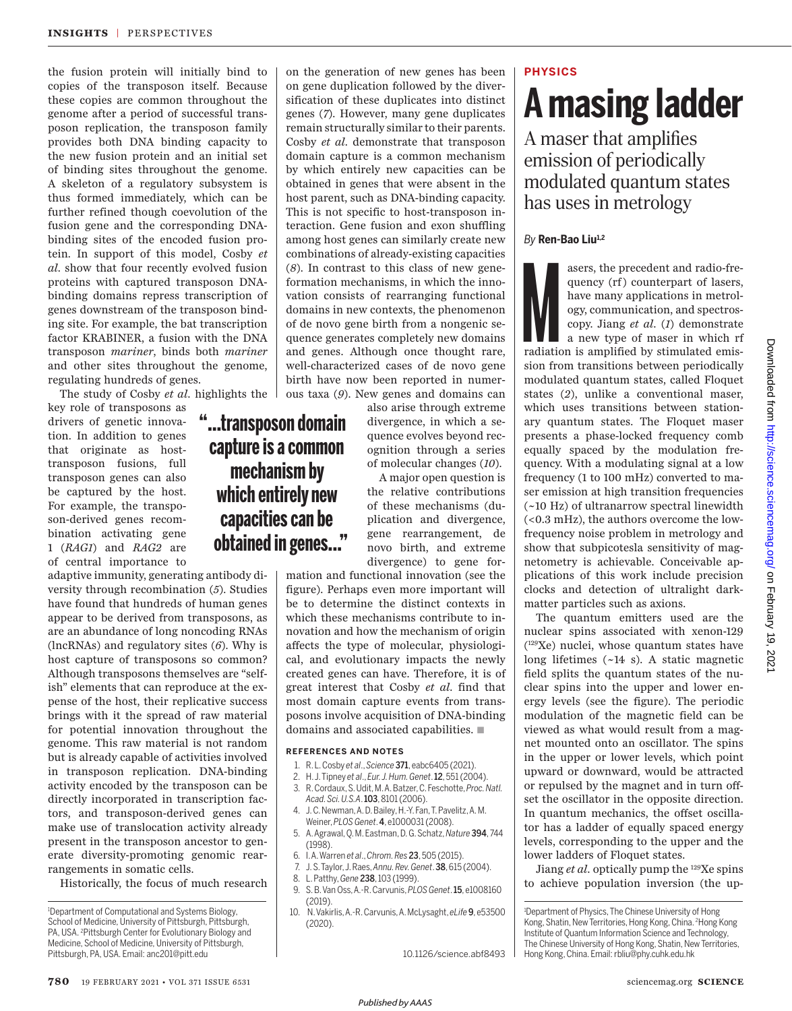the fusion protein will initially bind to copies of the transposon itself. Because these copies are common throughout the genome after a period of successful transposon replication, the transposon family provides both DNA binding capacity to the new fusion protein and an initial set of binding sites throughout the genome. A skeleton of a regulatory subsystem is thus formed immediately, which can be further refined though coevolution of the fusion gene and the corresponding DNAbinding sites of the encoded fusion protein. In support of this model, Cosby *et al*. show that four recently evolved fusion proteins with captured transposon DNAbinding domains repress transcription of genes downstream of the transposon binding site. For example, the bat transcription factor KRABINER, a fusion with the DNA transposon *mariner*, binds both *mariner* and other sites throughout the genome, regulating hundreds of genes.

The study of Cosby *et al.* highlights the

**"...transposon domain capture is a common mechanism by which entirely new capacities can be obtained in genes..."**

key role of transposons as drivers of genetic innovation. In addition to genes that originate as hosttransposon fusions, full transposon genes can also be captured by the host. For example, the transposon-derived genes recombination activating gene 1 (*RAG1*) and *RAG2* are of central importance to

adaptive immunity, generating antibody diversity through recombination (*5*). Studies have found that hundreds of human genes appear to be derived from transposons, as are an abundance of long noncoding RNAs (lncRNAs) and regulatory sites (*6*). Why is host capture of transposons so common? Although transposons themselves are "selfish" elements that can reproduce at the expense of the host, their replicative success brings with it the spread of raw material for potential innovation throughout the genome. This raw material is not random but is already capable of activities involved in transposon replication. DNA-binding activity encoded by the transposon can be directly incorporated in transcription factors, and transposon-derived genes can make use of translocation activity already present in the transposon ancestor to generate diversity-promoting genomic rearrangements in somatic cells.

Historically, the focus of much research

on the generation of new genes has been on gene duplication followed by the diversification of these duplicates into distinct genes (*7*). However, many gene duplicates remain structurally similar to their parents. Cosby *et al*. demonstrate that transposon domain capture is a common mechanism by which entirely new capacities can be obtained in genes that were absent in the host parent, such as DNA-binding capacity. This is not specific to host-transposon interaction. Gene fusion and exon shuffling among host genes can similarly create new combinations of already-existing capacities (*8*). In contrast to this class of new geneformation mechanisms, in which the innovation consists of rearranging functional domains in new contexts, the phenomenon of de novo gene birth from a nongenic sequence generates completely new domains and genes. Although once thought rare, well-characterized cases of de novo gene birth have now been reported in numerous taxa (*9*). New genes and domains can

> also arise through extreme divergence, in which a sequence evolves beyond recognition through a series of molecular changes (*10*).

A major open question is the relative contributions of these mechanisms (duplication and divergence, gene rearrangement, de novo birth, and extreme divergence) to gene for-

mation and functional innovation (see the figure). Perhaps even more important will be to determine the distinct contexts in which these mechanisms contribute to innovation and how the mechanism of origin affects the type of molecular, physiological, and evolutionary impacts the newly created genes can have. Therefore, it is of great interest that Cosby *et al*. find that most domain capture events from transposons involve acquisition of DNA-binding domains and associated capabilities.  $\blacksquare$ 

#### **REFERENCES AND NOTES**

- 1. R. L. Cosby *et al*., *Science* 371, eabc6405 (2021).
- 2. H. J. Tipney *et al*., *Eur. J. Hum. Genet*. 12, 551 (2004). 3. R. Cordaux, S. Udit, M. A. Batzer, C. Feschotte, *Proc. Natl.*
- *Acad. Sci. U.S.A*. 103, 8101 (2006).
- 4. J. C. Newman, A. D. Bailey, H.-Y. Fan, T. Pavelitz, A. M. Weiner, *PLOS Genet*. 4, e1000031 (2008).
- 5. A. Agrawal, Q. M. Eastman, D. G. Schatz, *Nature* 394, 744 (1998).
- 6. I. A. Warren *et al*., *Chrom. Res* 23, 505 (2015).
- 7. J. S. Taylor, J. Raes, *Annu. Rev. Genet*. 38, 615 (2004).
- 8. L. Patthy, *Gene* 238, 103 (1999).
- 9. S. B. Van Oss, A.-R. Carvunis, *PLOS Genet*. 15, e1008160 (2019).
- 10. N. Vakirlis, A.-R. Carvunis, A. McLysaght, *eLife* 9, e53500 (2020).

10.1126/science.abf8493

## **PHYSICS**

# **A masing ladder**

A maser that amplifies emission of periodically modulated quantum states has uses in metrology

### *By* **Ren-Bao Liu1,2**

asers, the precedent and radio-frequency (rf) counterpart of lasers,<br>have many applications in metrol-<br>ogy, communication, and spectros-<br>copy. Jiang *et al.* (1) demonstrate<br>a new type of maser in which rf<br>radiation is amp quency (rf) counterpart of lasers, have many applications in metrology, communication, and spectroscopy. Jiang *et al.* (*1*) demonstrate a new type of maser in which rf sion from transitions between periodically modulated quantum states, called Floquet states (*2*), unlike a conventional maser, which uses transitions between stationary quantum states. The Floquet maser presents a phase-locked frequency comb equally spaced by the modulation frequency. With a modulating signal at a low frequency (1 to 100 mHz) converted to maser emission at high transition frequencies (~10 Hz) of ultranarrow spectral linewidth (<0.3 mHz), the authors overcome the lowfrequency noise problem in metrology and show that subpicotesla sensitivity of magnetometry is achievable. Conceivable applications of this work include precision clocks and detection of ultralight darkmatter particles such as axions.

The quantum emitters used are the nuclear spins associated with xenon-129 ( <sup>129</sup>Xe) nuclei, whose quantum states have long lifetimes (~14 s). A static magnetic field splits the quantum states of the nuclear spins into the upper and lower energy levels (see the figure). The periodic modulation of the magnetic field can be viewed as what would result from a magnet mounted onto an oscillator. The spins in the upper or lower levels, which point upward or downward, would be attracted or repulsed by the magnet and in turn offset the oscillator in the opposite direction. In quantum mechanics, the offset oscillator has a ladder of equally spaced energy levels, corresponding to the upper and the lower ladders of Floquet states.

Jiang *et al.* optically pump the <sup>129</sup>Xe spins to achieve population inversion (the up-

<sup>1</sup>Department of Computational and Systems Biology, School of Medicine, University of Pittsburgh, Pittsburgh, PA, USA. <sup>2</sup>Pittsburgh Center for Evolutionary Biology and Medicine, School of Medicine, University of Pittsburgh, Pittsburgh, PA, USA. Email: anc201@pitt.edu

<sup>&</sup>lt;sup>1</sup>Department of Physics, The Chinese University of Hong Kong, Shatin, New Territories, Hong Kong, China. <sup>2</sup>Hong Kong Institute of Quantum Information Science and Technology, The Chinese University of Hong Kong, Shatin, New Territories, Hong Kong, China. Email: rbliu@phy.cuhk.edu.hk